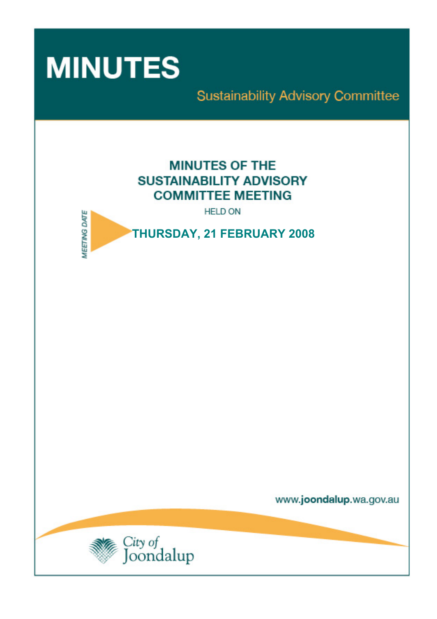

**Sustainability Advisory Committee** 

# **MINUTES OF THE SUSTAINABILITY ADVISORY COMMITTEE MEETING**

**HELD ON** 



www.joondalup.wa.gov.au

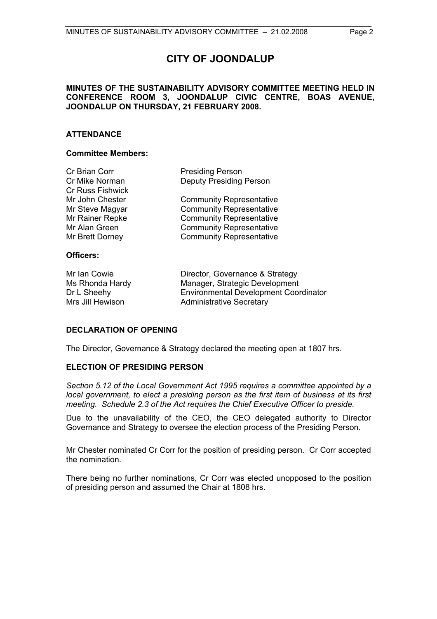# **CITY OF JOONDALUP**

# **MINUTES OF THE SUSTAINABILITY ADVISORY COMMITTEE MEETING HELD IN CONFERENCE ROOM 3, JOONDALUP CIVIC CENTRE, BOAS AVENUE, JOONDALUP ON THURSDAY, 21 FEBRUARY 2008.**

# **ATTENDANCE**

#### **Committee Members:**

| Cr Brian Corr           | <b>Presiding Person</b>         |
|-------------------------|---------------------------------|
| Cr Mike Norman          | <b>Deputy Presiding Person</b>  |
| <b>Cr Russ Fishwick</b> |                                 |
| Mr John Chester         | <b>Community Representative</b> |
| Mr Steve Magyar         | <b>Community Representative</b> |
| Mr Rainer Repke         | <b>Community Representative</b> |
| Mr Alan Green           | <b>Community Representative</b> |
| Mr Brett Dorney         | <b>Community Representative</b> |
|                         |                                 |
| Officers:               |                                 |
|                         |                                 |

| Mr Ian Cowie<br>Ms Rhonda Hardy<br>Dr L Sheehy | Director, Governance & Strategy<br>Manager, Strategic Development<br><b>Environmental Development Coordinator</b> |
|------------------------------------------------|-------------------------------------------------------------------------------------------------------------------|
| Mrs Jill Hewison                               | <b>Administrative Secretary</b>                                                                                   |

#### **DECLARATION OF OPENING**

The Director, Governance & Strategy declared the meeting open at 1807 hrs.

# **ELECTION OF PRESIDING PERSON**

*Section 5.12 of the Local Government Act 1995 requires a committee appointed by a local government, to elect a presiding person as the first item of business at its first meeting. Schedule 2.3 of the Act requires the Chief Executive Officer to preside.* 

Due to the unavailability of the CEO, the CEO delegated authority to Director Governance and Strategy to oversee the election process of the Presiding Person.

Mr Chester nominated Cr Corr for the position of presiding person. Cr Corr accepted the nomination.

There being no further nominations, Cr Corr was elected unopposed to the position of presiding person and assumed the Chair at 1808 hrs.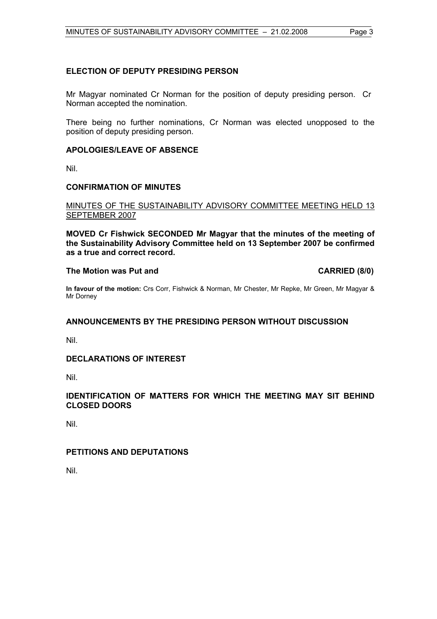# **ELECTION OF DEPUTY PRESIDING PERSON**

Mr Magyar nominated Cr Norman for the position of deputy presiding person. Cr Norman accepted the nomination.

There being no further nominations, Cr Norman was elected unopposed to the position of deputy presiding person.

### **APOLOGIES/LEAVE OF ABSENCE**

Nil.

### **CONFIRMATION OF MINUTES**

### MINUTES OF THE SUSTAINABILITY ADVISORY COMMITTEE MEETING HELD 13 SEPTEMBER 2007

**MOVED Cr Fishwick SECONDED Mr Magyar that the minutes of the meeting of the Sustainability Advisory Committee held on 13 September 2007 be confirmed as a true and correct record.** 

## The Motion was Put and **CARRIED** (8/0)

**In favour of the motion:** Crs Corr, Fishwick & Norman, Mr Chester, Mr Repke, Mr Green, Mr Magyar & Mr Dorney

# **ANNOUNCEMENTS BY THE PRESIDING PERSON WITHOUT DISCUSSION**

Nil.

# **DECLARATIONS OF INTEREST**

Nil.

### **IDENTIFICATION OF MATTERS FOR WHICH THE MEETING MAY SIT BEHIND CLOSED DOORS**

Nil.

# **PETITIONS AND DEPUTATIONS**

Nil.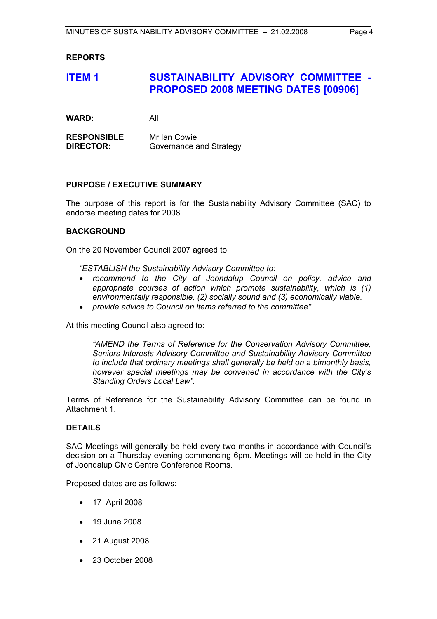## **REPORTS**

# **ITEM 1 SUSTAINABILITY ADVISORY COMMITTEE -PROPOSED 2008 MEETING DATES [00906]**

**WARD:** All

**RESPONSIBLE** Mr Ian Cowie **DIRECTOR:** Governance and Strategy

### **PURPOSE / EXECUTIVE SUMMARY**

The purpose of this report is for the Sustainability Advisory Committee (SAC) to endorse meeting dates for 2008.

### **BACKGROUND**

On the 20 November Council 2007 agreed to:

*"ESTABLISH the Sustainability Advisory Committee to:* 

- *recommend to the City of Joondalup Council on policy, advice and appropriate courses of action which promote sustainability, which is (1) environmentally responsible, (2) socially sound and (3) economically viable.*
- *provide advice to Council on items referred to the committee".*

At this meeting Council also agreed to:

*"AMEND the Terms of Reference for the Conservation Advisory Committee, Seniors Interests Advisory Committee and Sustainability Advisory Committee to include that ordinary meetings shall generally be held on a bimonthly basis, however special meetings may be convened in accordance with the City's Standing Orders Local Law".* 

Terms of Reference for the Sustainability Advisory Committee can be found in Attachment 1.

#### **DETAILS**

SAC Meetings will generally be held every two months in accordance with Council's decision on a Thursday evening commencing 6pm. Meetings will be held in the City of Joondalup Civic Centre Conference Rooms.

Proposed dates are as follows:

- 17 April 2008
- 19 June 2008
- 21 August 2008
- 23 October 2008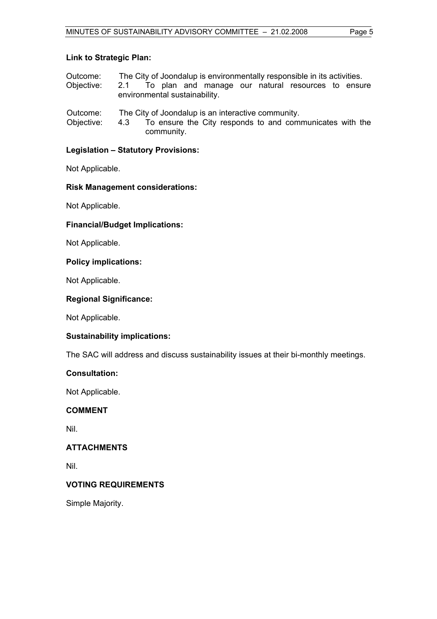| Outcome: | The City of Joondalup is environmentally responsible in its activities. |
|----------|-------------------------------------------------------------------------|
|          |                                                                         |

- Objective: 2.1 To plan and manage our natural resources to ensure environmental sustainability.
- Outcome: The City of Joondalup is an interactive community.
- Objective: 4.3 To ensure the City responds to and communicates with the community.

# **Legislation – Statutory Provisions:**

Not Applicable.

# **Risk Management considerations:**

Not Applicable.

# **Financial/Budget Implications:**

Not Applicable.

# **Policy implications:**

Not Applicable.

# **Regional Significance:**

Not Applicable.

# **Sustainability implications:**

The SAC will address and discuss sustainability issues at their bi-monthly meetings.

# **Consultation:**

Not Applicable.

# **COMMENT**

Nil.

# **ATTACHMENTS**

Nil.

# **VOTING REQUIREMENTS**

Simple Majority.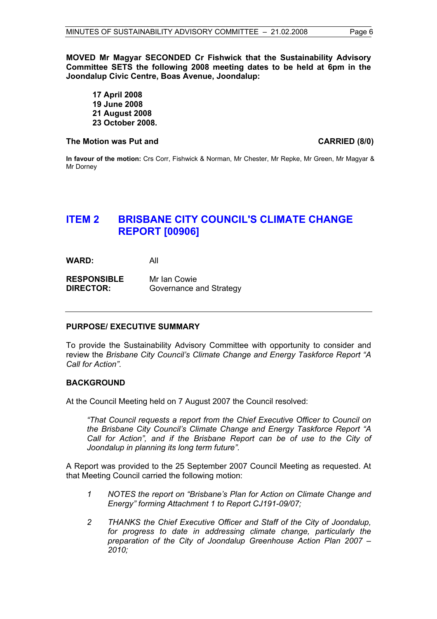**MOVED Mr Magyar SECONDED Cr Fishwick that the Sustainability Advisory Committee SETS the following 2008 meeting dates to be held at 6pm in the Joondalup Civic Centre, Boas Avenue, Joondalup:** 

**17 April 2008 19 June 2008 21 August 2008 23 October 2008.** 

#### The Motion was Put and **CARRIED** (8/0)

**In favour of the motion:** Crs Corr, Fishwick & Norman, Mr Chester, Mr Repke, Mr Green, Mr Magyar & Mr Dorney

# **ITEM 2 BRISBANE CITY COUNCIL'S CLIMATE CHANGE REPORT [00906]**

**WARD:** All

**RESPONSIBLE** Mr Ian Cowie **DIRECTOR:** Governance and Strategy

#### **PURPOSE/ EXECUTIVE SUMMARY**

To provide the Sustainability Advisory Committee with opportunity to consider and review the *Brisbane City Council's Climate Change and Energy Taskforce Report "A Call for Action"*.

### **BACKGROUND**

At the Council Meeting held on 7 August 2007 the Council resolved:

*"That Council requests a report from the Chief Executive Officer to Council on the Brisbane City Council's Climate Change and Energy Taskforce Report "A Call for Action", and if the Brisbane Report can be of use to the City of Joondalup in planning its long term future".* 

A Report was provided to the 25 September 2007 Council Meeting as requested. At that Meeting Council carried the following motion:

- *1 NOTES the report on "Brisbane's Plan for Action on Climate Change and Energy" forming Attachment 1 to Report CJ191-09/07;*
- *2 THANKS the Chief Executive Officer and Staff of the City of Joondalup, for progress to date in addressing climate change, particularly the preparation of the City of Joondalup Greenhouse Action Plan 2007 – 2010;*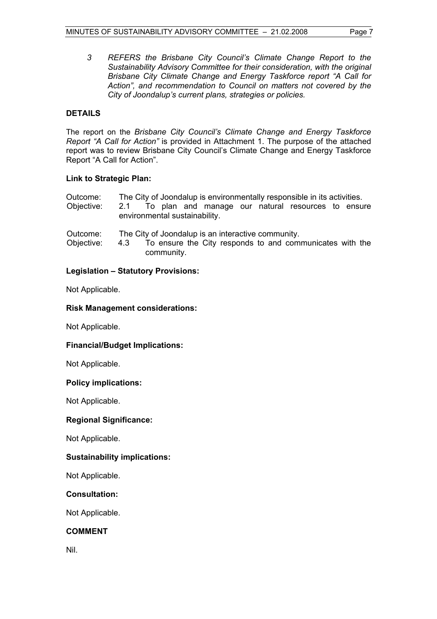*3 REFERS the Brisbane City Council's Climate Change Report to the Sustainability Advisory Committee for their consideration, with the original Brisbane City Climate Change and Energy Taskforce report "A Call for Action", and recommendation to Council on matters not covered by the City of Joondalup's current plans, strategies or policies.* 

# **DETAILS**

The report on the *Brisbane City Council's Climate Change and Energy Taskforce Report "A Call for Action"* is provided in Attachment 1. The purpose of the attached report was to review Brisbane City Council's Climate Change and Energy Taskforce Report "A Call for Action".

### **Link to Strategic Plan:**

| Outcome: | The City of Joondalup is environmentally responsible in its activities. |  |
|----------|-------------------------------------------------------------------------|--|
|----------|-------------------------------------------------------------------------|--|

- Objective: 2.1 To plan and manage our natural resources to ensure environmental sustainability.
- Outcome: The City of Joondalup is an interactive community.
- Objective: 4.3 To ensure the City responds to and communicates with the community.

# **Legislation – Statutory Provisions:**

Not Applicable.

# **Risk Management considerations:**

Not Applicable.

# **Financial/Budget Implications:**

Not Applicable.

#### **Policy implications:**

Not Applicable.

# **Regional Significance:**

Not Applicable.

# **Sustainability implications:**

Not Applicable.

# **Consultation:**

Not Applicable.

# **COMMENT**

Nil.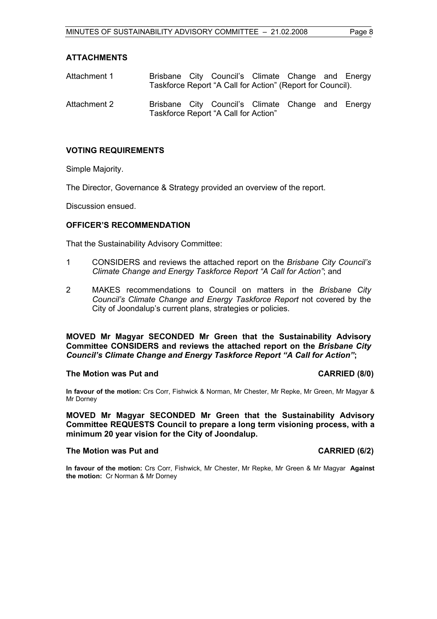### **ATTACHMENTS**

| Attachment 1 |  | Brisbane City Council's Climate Change and Energy<br>Taskforce Report "A Call for Action" (Report for Council). |  |  |
|--------------|--|-----------------------------------------------------------------------------------------------------------------|--|--|
| Attachment 2 |  | Brisbane City Council's Climate Change and Energy<br>Taskforce Report "A Call for Action"                       |  |  |

# **VOTING REQUIREMENTS**

Simple Majority.

The Director, Governance & Strategy provided an overview of the report.

Discussion ensued.

#### **OFFICER'S RECOMMENDATION**

That the Sustainability Advisory Committee:

- 1 CONSIDERS and reviews the attached report on the *Brisbane City Council's Climate Change and Energy Taskforce Report "A Call for Action"*; and
- 2 MAKES recommendations to Council on matters in the *Brisbane City Council's Climate Change and Energy Taskforce Report* not covered by the City of Joondalup's current plans, strategies or policies.

**MOVED Mr Magyar SECONDED Mr Green that the Sustainability Advisory Committee CONSIDERS and reviews the attached report on the** *Brisbane City Council's Climate Change and Energy Taskforce Report "A Call for Action"***;** 

#### **The Motion was Put and CARRIED (8/0)**

**In favour of the motion:** Crs Corr, Fishwick & Norman, Mr Chester, Mr Repke, Mr Green, Mr Magyar & Mr Dorney

**MOVED Mr Magyar SECONDED Mr Green that the Sustainability Advisory Committee REQUESTS Council to prepare a long term visioning process, with a minimum 20 year vision for the City of Joondalup.**

### The Motion was Put and **CARRIED** (6/2)

**In favour of the motion:** Crs Corr, Fishwick, Mr Chester, Mr Repke, Mr Green & Mr Magyar **Against the motion:** Cr Norman & Mr Dorney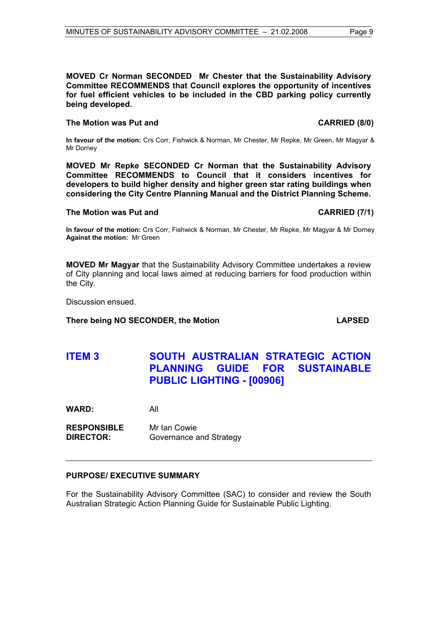#### **MOVED Cr Norman SECONDED Mr Chester that the Sustainability Advisory Committee RECOMMENDS that Council explores the opportunity of incentives for fuel efficient vehicles to be included in the CBD parking policy currently being developed.**

### The Motion was Put and **CARRIED** (8/0)

**In favour of the motion:** Crs Corr, Fishwick & Norman, Mr Chester, Mr Repke, Mr Green, Mr Magyar & Mr Dorney

**MOVED Mr Repke SECONDED Cr Norman that the Sustainability Advisory Committee RECOMMENDS to Council that it considers incentives for developers to build higher density and higher green star rating buildings when considering the City Centre Planning Manual and the District Planning Scheme.** 

#### **The Motion was Put and CARRIED (7/1)**

**In favour of the motion:** Crs Corr, Fishwick & Norman, Mr Chester, Mr Repke, Mr Magyar & Mr Dorney **Against the motion:** Mr Green

**MOVED Mr Magyar** that the Sustainability Advisory Committee undertakes a review of City planning and local laws aimed at reducing barriers for food production within the City.

Discussion ensued.

#### **There being NO SECONDER, the Motion LAPSED**

**ITEM 3 SOUTH AUSTRALIAN STRATEGIC ACTION PLANNING GUIDE FOR SUSTAINABLE PUBLIC LIGHTING - [00906]** 

**WARD:** All

**RESPONSIBLE** Mr Ian Cowie **DIRECTOR:** Governance and Strategy

# **PURPOSE/ EXECUTIVE SUMMARY**

For the Sustainability Advisory Committee (SAC) to consider and review the South Australian Strategic Action Planning Guide for Sustainable Public Lighting.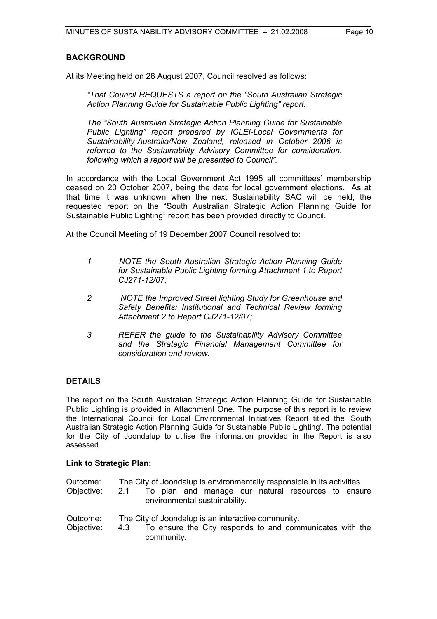### **BACKGROUND**

At its Meeting held on 28 August 2007, Council resolved as follows:

*"That Council REQUESTS a report on the "South Australian Strategic Action Planning Guide for Sustainable Public Lighting" report.* 

*The "South Australian Strategic Action Planning Guide for Sustainable Public Lighting" report prepared by ICLEI-Local Governments for Sustainability-Australia/New Zealand, released in October 2006 is referred to the Sustainability Advisory Committee for consideration, following which a report will be presented to Council".* 

In accordance with the Local Government Act 1995 all committees' membership ceased on 20 October 2007, being the date for local government elections. As at that time it was unknown when the next Sustainability SAC will be held, the requested report on the "South Australian Strategic Action Planning Guide for Sustainable Public Lighting" report has been provided directly to Council.

At the Council Meeting of 19 December 2007 Council resolved to:

- *1 NOTE the South Australian Strategic Action Planning Guide for Sustainable Public Lighting forming Attachment 1 to Report CJ271-12/07;*
- *2 NOTE the Improved Street lighting Study for Greenhouse and Safety Benefits: Institutional and Technical Review forming Attachment 2 to Report CJ271-12/07;*
- *3 REFER the guide to the Sustainability Advisory Committee and the Strategic Financial Management Committee for consideration and review.*

# **DETAILS**

The report on the South Australian Strategic Action Planning Guide for Sustainable Public Lighting is provided in Attachment One. The purpose of this report is to review the International Council for Local Environmental Initiatives Report titled the 'South Australian Strategic Action Planning Guide for Sustainable Public Lighting'. The potential for the City of Joondalup to utilise the information provided in the Report is also assessed.

# **Link to Strategic Plan:**

|  | Outcome: |  | The City of Joondalup is environmentally responsible in its activities. |
|--|----------|--|-------------------------------------------------------------------------|
|--|----------|--|-------------------------------------------------------------------------|

- Objective: 2.1 To plan and manage our natural resources to ensure environmental sustainability.
- Outcome: The City of Joondalup is an interactive community. Objective: 4.3 To ensure the City responds to and communicates with the community.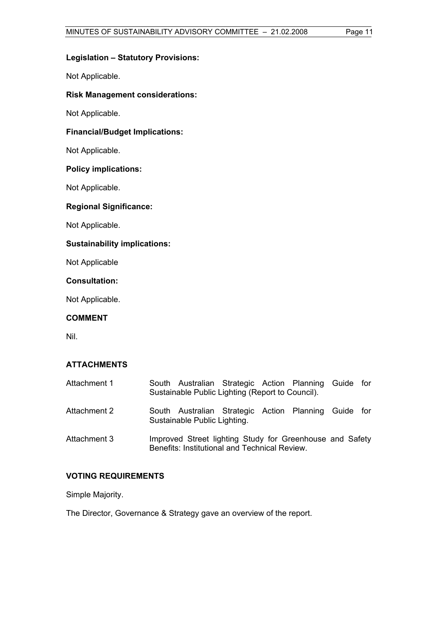# **Legislation – Statutory Provisions:**

Not Applicable.

# **Risk Management considerations:**

Not Applicable.

## **Financial/Budget Implications:**

Not Applicable.

### **Policy implications:**

Not Applicable.

# **Regional Significance:**

Not Applicable.

### **Sustainability implications:**

Not Applicable

**Consultation:** 

Not Applicable.

# **COMMENT**

Nil.

# **ATTACHMENTS**

| Attachment 1 | South Australian Strategic Action Planning Guide for<br>Sustainable Public Lighting (Report to Council).  |  |  |  |
|--------------|-----------------------------------------------------------------------------------------------------------|--|--|--|
| Attachment 2 | South Australian Strategic Action Planning Guide for<br>Sustainable Public Lighting.                      |  |  |  |
| Attachment 3 | Improved Street lighting Study for Greenhouse and Safety<br>Benefits: Institutional and Technical Review. |  |  |  |

# **VOTING REQUIREMENTS**

Simple Majority.

The Director, Governance & Strategy gave an overview of the report.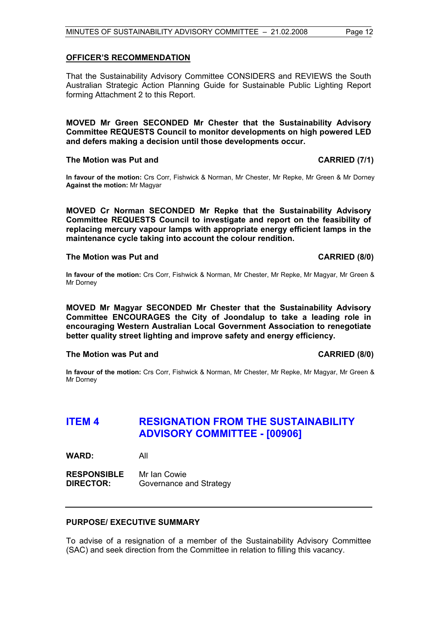#### **OFFICER'S RECOMMENDATION**

That the Sustainability Advisory Committee CONSIDERS and REVIEWS the South Australian Strategic Action Planning Guide for Sustainable Public Lighting Report forming Attachment 2 to this Report.

**MOVED Mr Green SECONDED Mr Chester that the Sustainability Advisory Committee REQUESTS Council to monitor developments on high powered LED and defers making a decision until those developments occur.** 

#### **The Motion was Put and CARRIED (7/1)**

**In favour of the motion:** Crs Corr, Fishwick & Norman, Mr Chester, Mr Repke, Mr Green & Mr Dorney **Against the motion:** Mr Magyar

**MOVED Cr Norman SECONDED Mr Repke that the Sustainability Advisory Committee REQUESTS Council to investigate and report on the feasibility of replacing mercury vapour lamps with appropriate energy efficient lamps in the maintenance cycle taking into account the colour rendition.** 

#### **The Motion was Put and CARRIED (8/0) CARRIED (8/0)**

**In favour of the motion:** Crs Corr, Fishwick & Norman, Mr Chester, Mr Repke, Mr Magyar, Mr Green & Mr Dorney

**MOVED Mr Magyar SECONDED Mr Chester that the Sustainability Advisory Committee ENCOURAGES the City of Joondalup to take a leading role in encouraging Western Australian Local Government Association to renegotiate better quality street lighting and improve safety and energy efficiency.** 

#### The Motion was Put and **CARRIED** (8/0)

**In favour of the motion:** Crs Corr, Fishwick & Norman, Mr Chester, Mr Repke, Mr Magyar, Mr Green & Mr Dorney

# **ITEM 4 RESIGNATION FROM THE SUSTAINABILITY ADVISORY COMMITTEE - [00906]**

**WARD:** All

**RESPONSIBLE** Mr Ian Cowie **DIRECTOR:** Governance and Strategy

#### **PURPOSE/ EXECUTIVE SUMMARY**

To advise of a resignation of a member of the Sustainability Advisory Committee (SAC) and seek direction from the Committee in relation to filling this vacancy.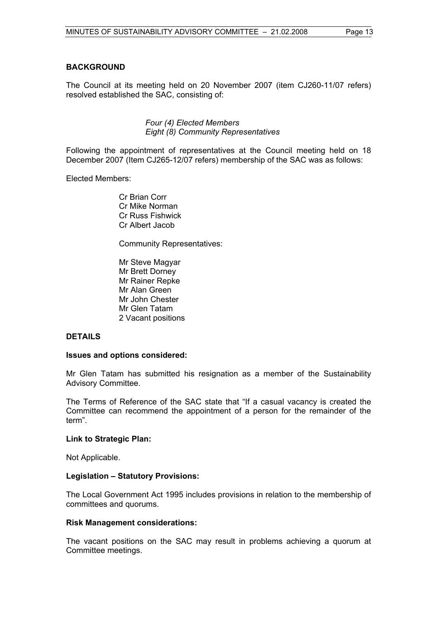# **BACKGROUND**

The Council at its meeting held on 20 November 2007 (item CJ260-11/07 refers) resolved established the SAC, consisting of:

> *Four (4) Elected Members Eight (8) Community Representatives*

Following the appointment of representatives at the Council meeting held on 18 December 2007 (Item CJ265-12/07 refers) membership of the SAC was as follows:

Elected Members:

 Cr Brian Corr Cr Mike Norman Cr Russ Fishwick Cr Albert Jacob

Community Representatives:

 Mr Steve Magyar Mr Brett Dorney Mr Rainer Repke Mr Alan Green Mr John Chester Mr Glen Tatam 2 Vacant positions

#### **DETAILS**

#### **Issues and options considered:**

Mr Glen Tatam has submitted his resignation as a member of the Sustainability Advisory Committee.

The Terms of Reference of the SAC state that "If a casual vacancy is created the Committee can recommend the appointment of a person for the remainder of the term".

#### **Link to Strategic Plan:**

Not Applicable.

#### **Legislation – Statutory Provisions:**

The Local Government Act 1995 includes provisions in relation to the membership of committees and quorums.

#### **Risk Management considerations:**

The vacant positions on the SAC may result in problems achieving a quorum at Committee meetings.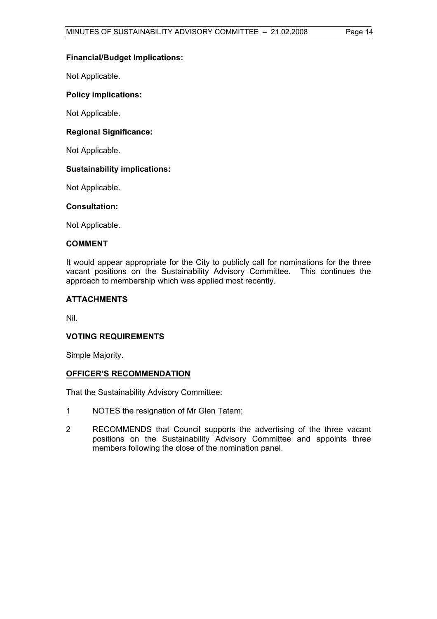# **Financial/Budget Implications:**

Not Applicable.

# **Policy implications:**

Not Applicable.

# **Regional Significance:**

Not Applicable.

### **Sustainability implications:**

Not Applicable.

#### **Consultation:**

Not Applicable.

# **COMMENT**

It would appear appropriate for the City to publicly call for nominations for the three vacant positions on the Sustainability Advisory Committee. This continues the approach to membership which was applied most recently.

### **ATTACHMENTS**

Nil.

#### **VOTING REQUIREMENTS**

Simple Majority.

### **OFFICER'S RECOMMENDATION**

That the Sustainability Advisory Committee:

- 1 NOTES the resignation of Mr Glen Tatam;
- 2 RECOMMENDS that Council supports the advertising of the three vacant positions on the Sustainability Advisory Committee and appoints three members following the close of the nomination panel.